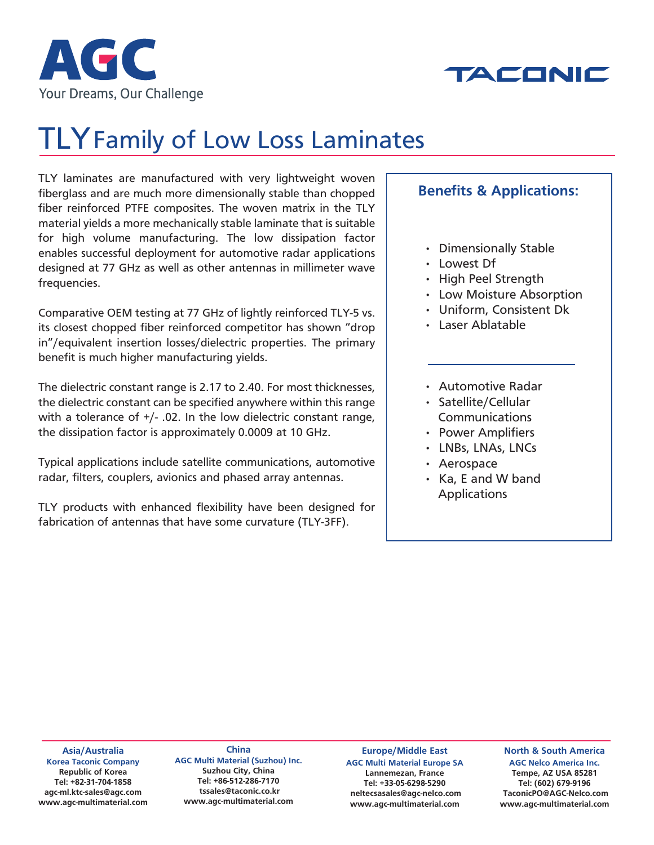



# TLY Family of Low Loss Laminates

TLY laminates are manufactured with very lightweight woven fiberglass and are much more dimensionally stable than chopped fiber reinforced PTFE composites. The woven matrix in the TLY material yields a more mechanically stable laminate that is suitable for high volume manufacturing. The low dissipation factor enables successful deployment for automotive radar applications designed at 77 GHz as well as other antennas in millimeter wave frequencies.

Comparative OEM testing at 77 GHz of lightly reinforced TLY-5 vs. its closest chopped fiber reinforced competitor has shown "drop in"/equivalent insertion losses/dielectric properties. The primary benefit is much higher manufacturing yields.

The dielectric constant range is 2.17 to 2.40. For most thicknesses, the dielectric constant can be specified anywhere within this range with a tolerance of +/- .02. In the low dielectric constant range, the dissipation factor is approximately 0.0009 at 10 GHz.

Typical applications include satellite communications, automotive radar, filters, couplers, avionics and phased array antennas.

TLY products with enhanced flexibility have been designed for fabrication of antennas that have some curvature (TLY-3FF).

### **Benefits & Applications:**

- Dimensionally Stable
- Lowest Df
- High Peel Strength
- Low Moisture Absorption
- Uniform, Consistent Dk
- Laser Ablatable
- Automotive Radar
- Satellite/Cellular **Communications**
- Power Amplifiers
- LNBs, LNAs, LNCs
- Aerospace
- Ka, E and W band Applications

**Asia/Australia Korea Taconic Company Republic of Korea Tel: +82-31-704-1858 agc-ml.ktc-sales@agc.com www.agc-multimaterial.com**

**China AGC Multi Material (Suzhou) Inc. Suzhou City, China Tel: +86-512-286-7170 tssales@taconic.co.kr www.agc-multimaterial.com**

**Europe/Middle East AGC Multi Material Europe SA Lannemezan, France Tel: +33-05-6298-5290 neltecsasales@agc-nelco.com www.agc-multimaterial.com**

**North & South America AGC Nelco America Inc. Tempe, AZ USA 85281 Tel: (602) 679-9196 TaconicPO@AGC-Nelco.com www.agc-multimaterial.com**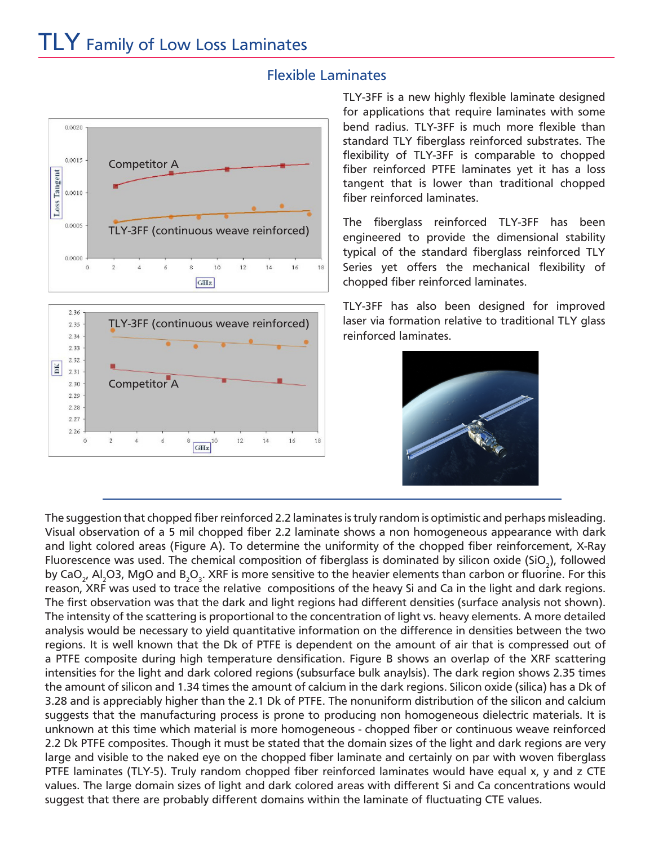

#### Flexible Laminates

TLY-3FF is a new highly flexible laminate designed for applications that require laminates with some bend radius. TLY-3FF is much more flexible than standard TLY fiberglass reinforced substrates. The flexibility of TLY-3FF is comparable to chopped fiber reinforced PTFE laminates yet it has a loss tangent that is lower than traditional chopped fiber reinforced laminates.

The fiberglass reinforced TLY-3FF has been engineered to provide the dimensional stability typical of the standard fiberglass reinforced TLY Series yet offers the mechanical flexibility of chopped fiber reinforced laminates.

TLY-3FF has also been designed for improved laser via formation relative to traditional TLY glass reinforced laminates.



The suggestion that chopped fiber reinforced 2.2 laminates is truly random is optimistic and perhaps misleading. Visual observation of a 5 mil chopped fiber 2.2 laminate shows a non homogeneous appearance with dark and light colored areas (Figure A). To determine the uniformity of the chopped fiber reinforcement, X-Ray Fluorescence was used. The chemical composition of fiberglass is dominated by silicon oxide (SiO $_{\rm 2}$ ), followed by CaO<sub>2</sub>, Al<sub>2</sub>O3, MgO and B<sub>2</sub>O<sub>3</sub>. XRF is more sensitive to the heavier elements than carbon or fluorine. For this reason, XRF was used to trace the relative compositions of the heavy Si and Ca in the light and dark regions. The first observation was that the dark and light regions had different densities (surface analysis not shown). The intensity of the scattering is proportional to the concentration of light vs. heavy elements. A more detailed analysis would be necessary to yield quantitative information on the difference in densities between the two regions. It is well known that the Dk of PTFE is dependent on the amount of air that is compressed out of a PTFE composite during high temperature densification. Figure B shows an overlap of the XRF scattering intensities for the light and dark colored regions (subsurface bulk anaylsis). The dark region shows 2.35 times the amount of silicon and 1.34 times the amount of calcium in the dark regions. Silicon oxide (silica) has a Dk of 3.28 and is appreciably higher than the 2.1 Dk of PTFE. The nonuniform distribution of the silicon and calcium suggests that the manufacturing process is prone to producing non homogeneous dielectric materials. It is unknown at this time which material is more homogeneous - chopped fiber or continuous weave reinforced 2.2 Dk PTFE composites. Though it must be stated that the domain sizes of the light and dark regions are very large and visible to the naked eye on the chopped fiber laminate and certainly on par with woven fiberglass PTFE laminates (TLY-5). Truly random chopped fiber reinforced laminates would have equal x, y and z CTE values. The large domain sizes of light and dark colored areas with different Si and Ca concentrations would suggest that there are probably different domains within the laminate of fluctuating CTE values.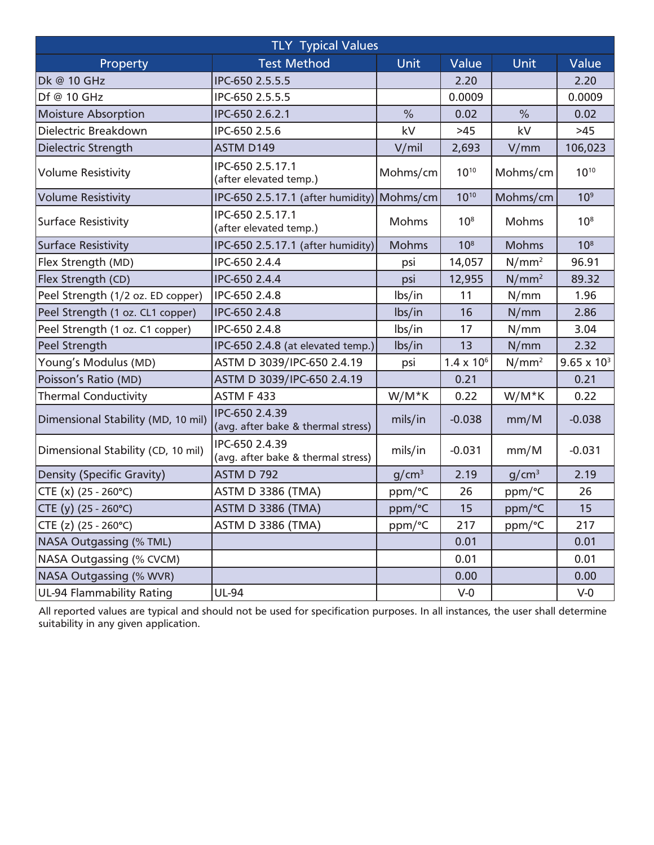| <b>TLY Typical Values</b>          |                                                      |                   |                     |                   |                      |  |  |
|------------------------------------|------------------------------------------------------|-------------------|---------------------|-------------------|----------------------|--|--|
| Property                           | <b>Test Method</b>                                   | Unit              | Value               | Unit              | Value                |  |  |
| Dk @ 10 GHz                        | IPC-650 2.5.5.5                                      |                   | 2.20                |                   | 2.20                 |  |  |
| Df @ 10 GHz                        | IPC-650 2.5.5.5                                      |                   | 0.0009              |                   | 0.0009               |  |  |
| <b>Moisture Absorption</b>         | IPC-650 2.6.2.1                                      | $\frac{0}{0}$     | 0.02                | $\frac{0}{0}$     | 0.02                 |  |  |
| Dielectric Breakdown               | IPC-650 2.5.6                                        | kV                | $>45$               | kV                | $>45$                |  |  |
| Dielectric Strength                | ASTM D149                                            | V/min             | 2,693               | V/mm              | 106,023              |  |  |
| <b>Volume Resistivity</b>          | IPC-650 2.5.17.1<br>(after elevated temp.)           | Mohms/cm          | $10^{10}$           | Mohms/cm          | $10^{10}$            |  |  |
| <b>Volume Resistivity</b>          | IPC-650 2.5.17.1 (after humidity)                    | Mohms/cm          | $10^{10}$           | Mohms/cm          | 10 <sup>9</sup>      |  |  |
| <b>Surface Resistivity</b>         | IPC-650 2.5.17.1<br>(after elevated temp.)           | <b>Mohms</b>      | 10 <sup>8</sup>     | <b>Mohms</b>      | 10 <sup>8</sup>      |  |  |
| <b>Surface Resistivity</b>         | IPC-650 2.5.17.1 (after humidity)                    | <b>Mohms</b>      | 10 <sup>8</sup>     | <b>Mohms</b>      | 10 <sup>8</sup>      |  |  |
| Flex Strength (MD)                 | IPC-650 2.4.4                                        | psi               | 14,057              | N/mm <sup>2</sup> | 96.91                |  |  |
| Flex Strength (CD)                 | IPC-650 2.4.4                                        | psi               | 12,955              | N/mm <sup>2</sup> | 89.32                |  |  |
| Peel Strength (1/2 oz. ED copper)  | IPC-650 2.4.8                                        | lbs/in            | 11                  | N/mm              | 1.96                 |  |  |
| Peel Strength (1 oz. CL1 copper)   | IPC-650 2.4.8                                        | lbs/in            | 16                  | N/mm              | 2.86                 |  |  |
| Peel Strength (1 oz. C1 copper)    | IPC-650 2.4.8                                        | lbs/in            | 17                  | N/mm              | 3.04                 |  |  |
| Peel Strength                      | IPC-650 2.4.8 (at elevated temp.)                    | lbs/in            | 13                  | N/mm              | 2.32                 |  |  |
| Young's Modulus (MD)               | ASTM D 3039/IPC-650 2.4.19                           | psi               | $1.4 \times 10^{6}$ | N/mm <sup>2</sup> | $9.65 \times 10^{3}$ |  |  |
| Poisson's Ratio (MD)               | ASTM D 3039/IPC-650 2.4.19                           |                   | 0.21                |                   | 0.21                 |  |  |
| <b>Thermal Conductivity</b>        | <b>ASTM F 433</b>                                    | W/M*K             | 0.22                | W/M*K             | 0.22                 |  |  |
| Dimensional Stability (MD, 10 mil) | IPC-650 2.4.39<br>(avg. after bake & thermal stress) | mils/in           | $-0.038$            | mm/M              | $-0.038$             |  |  |
| Dimensional Stability (CD, 10 mil) | IPC-650 2.4.39<br>(avg. after bake & thermal stress) | mils/in           | $-0.031$            | mm/M              | $-0.031$             |  |  |
| <b>Density (Specific Gravity)</b>  | <b>ASTM D 792</b>                                    | g/cm <sup>3</sup> | 2.19                | g/cm <sup>3</sup> | 2.19                 |  |  |
| $CTE (x) (25 - 260^{\circ}C)$      | <b>ASTM D 3386 (TMA)</b>                             | ppm/°C            | 26                  | ppm/°C            | 26                   |  |  |
| $CTE (y) (25 - 260^{\circ}C)$      | <b>ASTM D 3386 (TMA)</b>                             | ppm/°C            | 15                  | ppm/°C            | 15                   |  |  |
| CTE (z) (25 - 260°C)               | <b>ASTM D 3386 (TMA)</b>                             | ppm/°C            | 217                 | ppm/°C            | 217                  |  |  |
| <b>NASA Outgassing (% TML)</b>     |                                                      |                   | 0.01                |                   | 0.01                 |  |  |
| <b>NASA Outgassing (% CVCM)</b>    |                                                      |                   | 0.01                |                   | 0.01                 |  |  |
| <b>NASA Outgassing (% WVR)</b>     |                                                      |                   | 0.00                |                   | 0.00                 |  |  |
| <b>UL-94 Flammability Rating</b>   | UL-94                                                |                   | $V-0$               |                   | $V-0$                |  |  |

All reported values are typical and should not be used for specification purposes. In all instances, the user shall determine suitability in any given application.